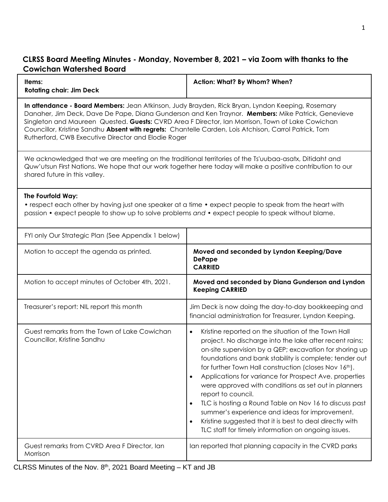## **CLRSS Board Meeting Minutes - Monday, November 8, 2021 – via Zoom with thanks to the Cowichan Watershed Board**

| Items:<br><b>Rotating chair: Jim Deck</b>                                                                                                                                                                                                                                                                                                                                                                                                                                  | Action: What? By Whom? When?                                                                                                                                                                                                                                                                                                                                                                                                                                                                                                                                                                                                                                                                       |  |  |  |
|----------------------------------------------------------------------------------------------------------------------------------------------------------------------------------------------------------------------------------------------------------------------------------------------------------------------------------------------------------------------------------------------------------------------------------------------------------------------------|----------------------------------------------------------------------------------------------------------------------------------------------------------------------------------------------------------------------------------------------------------------------------------------------------------------------------------------------------------------------------------------------------------------------------------------------------------------------------------------------------------------------------------------------------------------------------------------------------------------------------------------------------------------------------------------------------|--|--|--|
| In attendance - Board Members: Jean Atkinson, Judy Brayden, Rick Bryan, Lyndon Keeping, Rosemary<br>Danaher, Jim Deck, Dave De Pape, Diana Gunderson and Ken Traynor. Members: Mike Patrick, Genevieve<br>Singleton and Maureen Quested. Guests: CVRD Area F Director, Ian Morrison, Town of Lake Cowichan<br>Councillor, Kristine Sandhu Absent with regrets: Chantelle Carden, Lois Atchison, Carrol Patrick, Tom<br>Rutherford, CWB Executive Director and Elodie Roger |                                                                                                                                                                                                                                                                                                                                                                                                                                                                                                                                                                                                                                                                                                    |  |  |  |
| We acknowledged that we are meeting on the traditional territories of the Ts'uubaa-asatx, Ditidaht and<br>Quw'utsun First Nations. We hope that our work together here today will make a positive contribution to our<br>shared future in this valley.                                                                                                                                                                                                                     |                                                                                                                                                                                                                                                                                                                                                                                                                                                                                                                                                                                                                                                                                                    |  |  |  |
| The Fourfold Way:<br>• respect each other by having just one speaker at a time • expect people to speak from the heart with<br>passion • expect people to show up to solve problems and • expect people to speak without blame.                                                                                                                                                                                                                                            |                                                                                                                                                                                                                                                                                                                                                                                                                                                                                                                                                                                                                                                                                                    |  |  |  |
| FYI only Our Strategic Plan (See Appendix 1 below)                                                                                                                                                                                                                                                                                                                                                                                                                         |                                                                                                                                                                                                                                                                                                                                                                                                                                                                                                                                                                                                                                                                                                    |  |  |  |
| Motion to accept the agenda as printed.                                                                                                                                                                                                                                                                                                                                                                                                                                    | Moved and seconded by Lyndon Keeping/Dave<br><b>DePape</b><br><b>CARRIED</b>                                                                                                                                                                                                                                                                                                                                                                                                                                                                                                                                                                                                                       |  |  |  |
| Motion to accept minutes of October 4th, 2021.                                                                                                                                                                                                                                                                                                                                                                                                                             | Moved and seconded by Diana Gunderson and Lyndon<br><b>Keeping CARRIED</b>                                                                                                                                                                                                                                                                                                                                                                                                                                                                                                                                                                                                                         |  |  |  |
| Treasurer's report: NIL report this month                                                                                                                                                                                                                                                                                                                                                                                                                                  | Jim Deck is now doing the day-to-day bookkeeping and<br>financial administration for Treasurer, Lyndon Keeping.                                                                                                                                                                                                                                                                                                                                                                                                                                                                                                                                                                                    |  |  |  |
| Guest remarks from the Town of Lake Cowichan<br>Councillor, Kristine Sandhu                                                                                                                                                                                                                                                                                                                                                                                                | Kristine reported on the situation of the Town Hall<br>$\bullet$<br>project. No discharge into the lake after recent rains;<br>on-site supervision by a QEP; excavation for shoring up<br>foundations and bank stability is complete; tender out<br>for further Town Hall construction (closes Nov 16th).<br>Applications for variance for Prospect Ave. properties<br>٠<br>were approved with conditions as set out in planners<br>report to council.<br>TLC is hosting a Round Table on Nov 16 to discuss past<br>summer's experience and ideas for improvement.<br>Kristine suggested that it is best to deal directly with<br>$\bullet$<br>TLC staff for timely information on ongoing issues. |  |  |  |
| Guest remarks from CVRD Area F Director, Ian<br>Morrison                                                                                                                                                                                                                                                                                                                                                                                                                   | Ian reported that planning capacity in the CVRD parks                                                                                                                                                                                                                                                                                                                                                                                                                                                                                                                                                                                                                                              |  |  |  |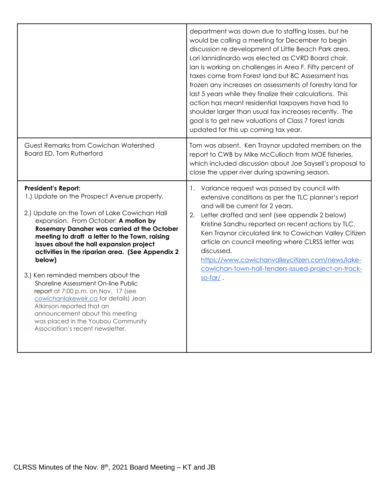|                                                                                                                                                                                                                                                                                                                                                                                                                                                                                                                                                                                                                                                                                           | department was down due to staffing losses, but he<br>would be calling a meeting for December to begin<br>discussion re development of Little Beach Park area.<br>Lori lannidinardo was elected as CVRD Board chair.<br>Ian is working on challenges in Area F. Fifty percent of<br>taxes come from Forest land but BC Assessment has<br>frozen any increases on assessments of forestry land for<br>last 5 years while they finalize their calculations. This<br>action has meant residential taxpayers have had to<br>shoulder larger than usual tax increases recently. The<br>goal is to get new valuations of Class 7 forest lands<br>updated for this up coming tax year. |  |
|-------------------------------------------------------------------------------------------------------------------------------------------------------------------------------------------------------------------------------------------------------------------------------------------------------------------------------------------------------------------------------------------------------------------------------------------------------------------------------------------------------------------------------------------------------------------------------------------------------------------------------------------------------------------------------------------|---------------------------------------------------------------------------------------------------------------------------------------------------------------------------------------------------------------------------------------------------------------------------------------------------------------------------------------------------------------------------------------------------------------------------------------------------------------------------------------------------------------------------------------------------------------------------------------------------------------------------------------------------------------------------------|--|
| Guest Remarks from Cowichan Watershed<br>Board ED, Tom Rutherford                                                                                                                                                                                                                                                                                                                                                                                                                                                                                                                                                                                                                         | Tom was absent. Ken Traynor updated members on the<br>report to CWB by Mike McCulloch from MOE fisheries,<br>which included discussion about Joe Saysell's proposal to<br>close the upper river during spawning season.                                                                                                                                                                                                                                                                                                                                                                                                                                                         |  |
| <b>President's Report:</b><br>1.) Update on the Prospect Avenue property.<br>2.) Update on the Town of Lake Cowichan Hall<br>expansion. From October: A motion by<br><b>Rosemary Danaher was carried at the October</b><br>meeting to draft a letter to the Town, raising<br>issues about the hall expansion project<br>activities in the riparian area. (See Appendix 2<br>below)<br>3.) Ken reminded members about the<br>Shoreline Assessment On-line Public<br>report at 7:00 p.m. on Nov. 17 (see<br>cowichanlakeweir.ca for details) Jean<br>Atkinson reported that an<br>announcement about this meeting<br>was placed in the Youbou Community<br>Association's recent newsletter. | 1. Variance request was passed by council with<br>extensive conditions as per the TLC planner's report<br>and will be current for 2 years.<br>2. Letter drafted and sent (see appendix 2 below)<br>Kristine Sandhu reported on recent actions by TLC.<br>Ken Traynor circulated link to Cowichan Valley Citizen<br>article on council meeting where CLRSS letter was<br>discussed.<br>https://www.cowichanvalleycitizen.com/news/lake-<br>cowichan-town-hall-tenders-issued-project-on-track-<br>$s$ o-far $\prime$ .                                                                                                                                                           |  |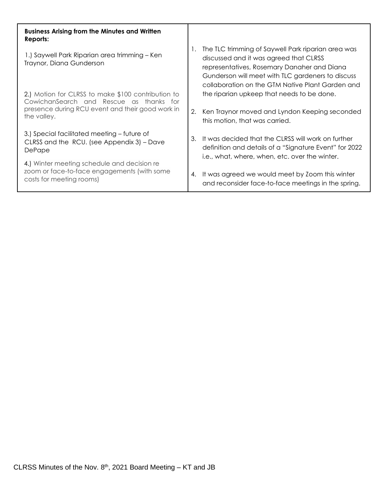| <b>Business Arising from the Minutes and Written</b><br>Reports:                                                                                                 |    |                                                                                                                                                                                                                                                      |
|------------------------------------------------------------------------------------------------------------------------------------------------------------------|----|------------------------------------------------------------------------------------------------------------------------------------------------------------------------------------------------------------------------------------------------------|
| 1.) Saywell Park Riparian area trimming – Ken<br>Traynor, Diana Gunderson                                                                                        |    | The TLC trimming of Saywell Park riparian area was<br>discussed and it was agreed that CLRSS<br>representatives, Rosemary Danaher and Diana<br>Gunderson will meet with TLC gardeners to discuss<br>collaboration on the GTM Native Plant Garden and |
| 2.) Motion for CLRSS to make \$100 contribution to<br>CowichanSearch and Rescue as thanks for<br>presence during RCU event and their good work in<br>the valley. |    | the riparian upkeep that needs to be done.                                                                                                                                                                                                           |
|                                                                                                                                                                  |    | 2. Ken Traynor moved and Lyndon Keeping seconded<br>this motion, that was carried.                                                                                                                                                                   |
| 3.) Special facilitated meeting – future of<br>CLRSS and the RCU. (see Appendix 3) – Dave<br>DePape                                                              | 3. | It was decided that the CLRSS will work on further<br>definition and details of a "Signature Event" for 2022<br>i.e., what, where, when, etc. over the winter.                                                                                       |
| 4.) Winter meeting schedule and decision re<br>zoom or face-to-face engagements (with some<br>costs for meeting rooms)                                           | 4. | It was agreed we would meet by Zoom this winter<br>and reconsider face-to-face meetings in the spring.                                                                                                                                               |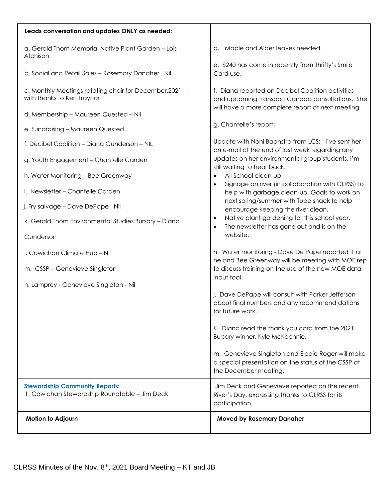| Leads conversation and updates ONLY as needed:                                         |                                                                                                                                    |
|----------------------------------------------------------------------------------------|------------------------------------------------------------------------------------------------------------------------------------|
| a. Gerald Thom Memorial Native Plant Garden - Lois<br>Atchison                         | a. Maple and Alder leaves needed.                                                                                                  |
| b. Social and Retail Sales - Rosemary Danaher Nil                                      | e. \$240 has come in recently from Thrifty's Smile<br>Card use.                                                                    |
| c. Monthly Meetings rotating chair for December, 2021 -<br>with thanks to Ken Traynor  | f. Diana reported on Decibel Coalition activities<br>and upcoming Transport Canada consultations. She                              |
| d. Membership - Maureen Quested - Nil                                                  | will have a more complete report at next meeting.                                                                                  |
| e. Fundraising - Maureen Quested                                                       | g. Chantelle's report:                                                                                                             |
| f. Decibel Coalition - Diana Gunderson - NIL                                           | Update with Noni Baanstra from LCS: I've sent her                                                                                  |
| g. Youth Engagement - Chantelle Carden                                                 | an e-mail at the end of last week regarding any<br>updates on her environmental group students. I'm<br>still waiting to hear back. |
| h. Water Monitoring - Bee Greenway                                                     | All School clean-up<br>$\bullet$<br>Signage on river (in collaboration with CLRSS) to<br>$\bullet$                                 |
| i. Newsletter - Chantelle Carden                                                       | help with garbage clean-up. Goals to work on                                                                                       |
| j. Fry salvage - Dave DePape Nil                                                       | next spring/summer with Tube shack to help<br>encourage keeping the river clean.                                                   |
| k. Gerald Thom Environmental Studies Bursary - Diana                                   | Native plant gardening for this school year.<br>$\bullet$<br>The newsletter has gone out and is on the                             |
| Gunderson                                                                              | website.                                                                                                                           |
| I. Cowichan Climate Hub - Nil                                                          | h. Water monitoring - Dave De Pape reported that<br>he and Bee Greenway will be meeting with MOE rep                               |
| m. CSSP - Genevieve Singleton                                                          | to discuss training on the use of the new MOE data<br>input tool.                                                                  |
| n. Lamprey - Genevieve Singleton - Nil                                                 |                                                                                                                                    |
|                                                                                        | j. Dave DePape will consult with Parker Jefferson<br>about final numbers and any recommend dations<br>for future work.             |
|                                                                                        | K. Diana read the thank you card from the 2021<br>Bursary winner, Kyle McKechnie.                                                  |
|                                                                                        | m. Genevieve Singleton and Elodie Roger will make<br>a special presentation on the status of the CSSP at<br>the December meeting.  |
| <b>Stewardship Community Reports:</b><br>1. Cowichan Stewardship Roundtable - Jim Deck | Jim Deck and Genevieve reported on the recent<br>River's Day, expressing thanks to CLRSS for its<br>participation.                 |
| Motion to Adjourn                                                                      | <b>Moved by Rosemary Danaher</b>                                                                                                   |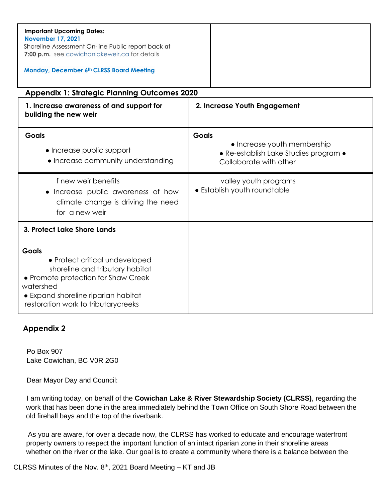| <b>Important Upcoming Dates:</b><br><b>November 17, 2021</b><br>Shoreline Assessment On-line Public report back at<br>7:00 p.m. see cowichanlakeweir.ca for details<br><b>Monday, December 6th CLRSS Board Meeting</b> |              |                                                                                                |  |  |  |
|------------------------------------------------------------------------------------------------------------------------------------------------------------------------------------------------------------------------|--------------|------------------------------------------------------------------------------------------------|--|--|--|
| <b>Appendix 1: Strategic Planning Outcomes 2020</b>                                                                                                                                                                    |              |                                                                                                |  |  |  |
| 1. Increase awareness of and support for<br>building the new weir                                                                                                                                                      |              | 2. Increase Youth Engagement                                                                   |  |  |  |
| <b>Goals</b><br>• Increase public support<br>• Increase community understanding                                                                                                                                        | <b>Goals</b> | • Increase youth membership<br>• Re-establish Lake Studies program •<br>Collaborate with other |  |  |  |
| f new weir benefits<br>Increase public awareness of how<br>climate change is driving the need<br>for a new weir                                                                                                        |              | valley youth programs<br>• Establish youth roundtable                                          |  |  |  |
| 3. Protect Lake Shore Lands                                                                                                                                                                                            |              |                                                                                                |  |  |  |
| <b>Goals</b><br>• Protect critical undeveloped<br>shoreline and tributary habitat<br>• Promote protection for Shaw Creek<br>watershed<br>• Expand shoreline riparian habitat<br>restoration work to tributarycreeks    |              |                                                                                                |  |  |  |

## **Appendix 2**

Po Box 907 Lake Cowichan, BC V0R 2G0

Dear Mayor Day and Council:

I am writing today, on behalf of the **Cowichan Lake & River Stewardship Society (CLRSS)**, regarding the work that has been done in the area immediately behind the Town Office on South Shore Road between the old firehall bays and the top of the riverbank.

As you are aware, for over a decade now, the CLRSS has worked to educate and encourage waterfront property owners to respect the important function of an intact riparian zone in their shoreline areas whether on the river or the lake. Our goal is to create a community where there is a balance between the

CLRSS Minutes of the Nov.  $8<sup>th</sup>$ , 2021 Board Meeting – KT and JB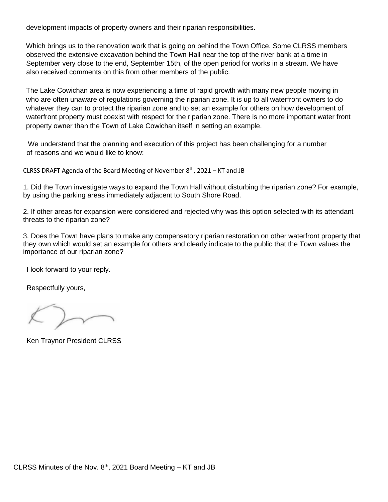development impacts of property owners and their riparian responsibilities.

Which brings us to the renovation work that is going on behind the Town Office. Some CLRSS members observed the extensive excavation behind the Town Hall near the top of the river bank at a time in September very close to the end, September 15th, of the open period for works in a stream. We have also received comments on this from other members of the public.

The Lake Cowichan area is now experiencing a time of rapid growth with many new people moving in who are often unaware of regulations governing the riparian zone. It is up to all waterfront owners to do whatever they can to protect the riparian zone and to set an example for others on how development of waterfront property must coexist with respect for the riparian zone. There is no more important water front property owner than the Town of Lake Cowichan itself in setting an example.

We understand that the planning and execution of this project has been challenging for a number of reasons and we would like to know:

CLRSS DRAFT Agenda of the Board Meeting of November  $8<sup>th</sup>$ , 2021 – KT and JB

1. Did the Town investigate ways to expand the Town Hall without disturbing the riparian zone? For example, by using the parking areas immediately adjacent to South Shore Road.

2. If other areas for expansion were considered and rejected why was this option selected with its attendant threats to the riparian zone?

3. Does the Town have plans to make any compensatory riparian restoration on other waterfront property that they own which would set an example for others and clearly indicate to the public that the Town values the importance of our riparian zone?

I look forward to your reply.

Respectfully yours,

Ken Traynor President CLRSS